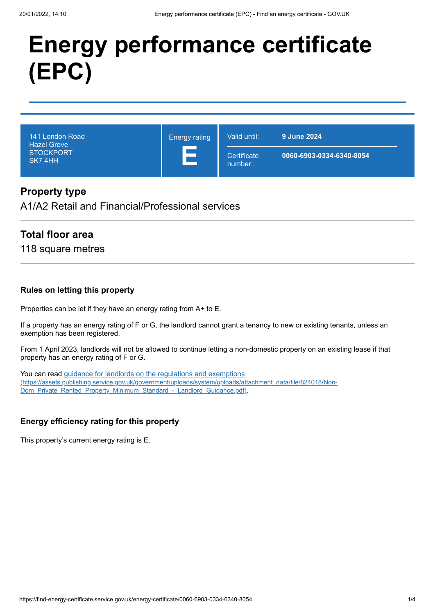# **Energy performance certificate (EPC)**

| 141 London Road<br><b>Hazel Grove</b><br><b>STOCKPORT</b><br>SK74HH | <b>Energy rating</b> | Valid until:           | 9 June 2024              |
|---------------------------------------------------------------------|----------------------|------------------------|--------------------------|
|                                                                     |                      | Certificate<br>number: | 0060-6903-0334-6340-8054 |

## **Property type**

A1/A2 Retail and Financial/Professional services

## **Total floor area**

118 square metres

#### **Rules on letting this property**

Properties can be let if they have an energy rating from A+ to E.

If a property has an energy rating of F or G, the landlord cannot grant a tenancy to new or existing tenants, unless an exemption has been registered.

From 1 April 2023, landlords will not be allowed to continue letting a non-domestic property on an existing lease if that property has an energy rating of F or G.

You can read guidance for landlords on the regulations and exemptions [\(https://assets.publishing.service.gov.uk/government/uploads/system/uploads/attachment\\_data/file/824018/Non-](https://assets.publishing.service.gov.uk/government/uploads/system/uploads/attachment_data/file/824018/Non-Dom_Private_Rented_Property_Minimum_Standard_-_Landlord_Guidance.pdf)Dom\_Private\_Rented\_Property\_Minimum\_Standard\_-\_Landlord\_Guidance.pdf).

#### **Energy efficiency rating for this property**

This property's current energy rating is E.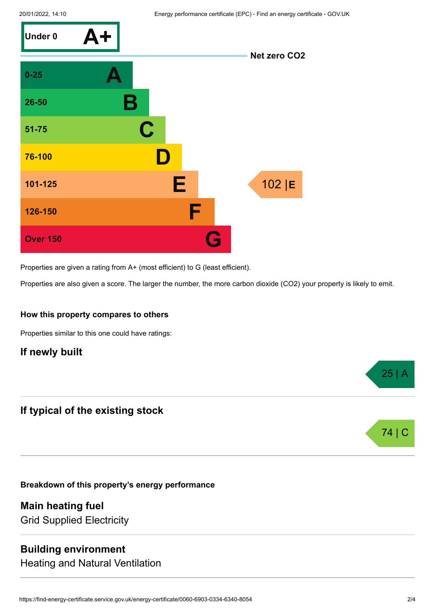

Properties are given a rating from A+ (most efficient) to G (least efficient).

Properties are also given a score. The larger the number, the more carbon dioxide (CO2) your property is likely to emit.

#### **How this property compares to others**

Properties similar to this one could have ratings:

#### **If newly built**

## **If typical of the existing stock**

**Breakdown of this property's energy performance**

**Main heating fuel** Grid Supplied Electricity

### **Building environment**

Heating and Natural Ventilation

25 | A

74 I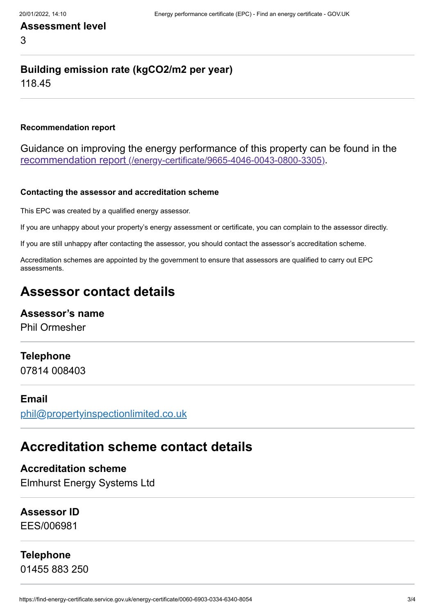# **Assessment level** 3

# **Building emission rate (kgCO2/m2 per year)**

118.45

#### **Recommendation report**

Guidance on improving the energy performance of this property can be found in the recommendation report [\(/energy-certificate/9665-4046-0043-0800-3305\)](https://find-energy-certificate.service.gov.uk/energy-certificate/9665-4046-0043-0800-3305).

#### **Contacting the assessor and accreditation scheme**

This EPC was created by a qualified energy assessor.

If you are unhappy about your property's energy assessment or certificate, you can complain to the assessor directly.

If you are still unhappy after contacting the assessor, you should contact the assessor's accreditation scheme.

Accreditation schemes are appointed by the government to ensure that assessors are qualified to carry out EPC assessments.

# **Assessor contact details**

#### **Assessor's name**

Phil Ormesher

#### **Telephone**

07814 008403

### **Email**

[phil@propertyinspectionlimited.co.uk](mailto:phil@propertyinspectionlimited.co.uk)

# **Accreditation scheme contact details**

**Accreditation scheme** Elmhurst Energy Systems Ltd

# **Assessor ID**

EES/006981

# **Telephone**

01455 883 250